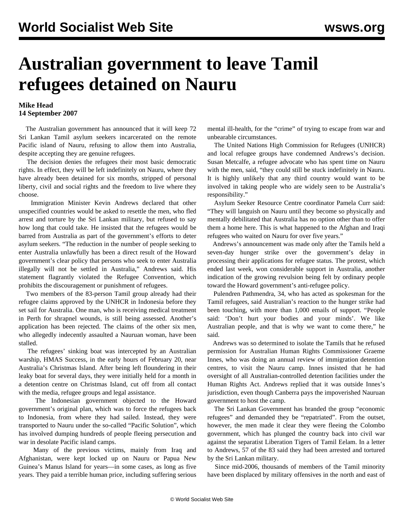## **Australian government to leave Tamil refugees detained on Nauru**

## **Mike Head 14 September 2007**

 The Australian government has announced that it will keep 72 Sri Lankan Tamil asylum seekers incarcerated on the remote Pacific island of Nauru, refusing to allow them into Australia, despite accepting they are genuine refugees.

 The decision denies the refugees their most basic democratic rights. In effect, they will be left indefinitely on Nauru, where they have already been detained for six months, stripped of personal liberty, civil and social rights and the freedom to live where they choose.

 Immigration Minister Kevin Andrews declared that other unspecified countries would be asked to resettle the men, who fled arrest and torture by the Sri Lankan military, but refused to say how long that could take. He insisted that the refugees would be barred from Australia as part of the government's efforts to deter asylum seekers. "The reduction in the number of people seeking to enter Australia unlawfully has been a direct result of the Howard government's clear policy that persons who seek to enter Australia illegally will not be settled in Australia," Andrews said. His statement flagrantly violated the Refugee Convention, which prohibits the discouragement or punishment of refugees.

 Two members of the 83-person Tamil group already had their refugee claims approved by the UNHCR in Indonesia before they set sail for Australia. One man, who is receiving medical treatment in Perth for shrapnel wounds, is still being assessed. Another's application has been rejected. The claims of the other six men, who allegedly indecently assaulted a Nauruan woman, have been stalled.

 The refugees' sinking boat was intercepted by an Australian warship, HMAS Success, in the early hours of February 20, near Australia's Christmas Island. After being left floundering in their leaky boat for several days, they were initially held for a month in a detention centre on Christmas Island, cut off from all contact with the media, refugee groups and legal assistance.

 The Indonesian government objected to the Howard government's original plan, which was to force the refugees back to Indonesia, from where they had sailed. Instead, they were transported to Nauru under the so-called "Pacific Solution", which has involved dumping hundreds of people fleeing persecution and war in desolate Pacific island camps.

 Many of the previous victims, mainly from Iraq and Afghanistan, were kept locked up on Nauru or Papua New Guinea's Manus Island for years—in some cases, as long as five years. They paid a terrible human price, including suffering serious

mental ill-health, for the "crime" of trying to escape from war and unbearable circumstances.

 The United Nations High Commission for Refugees (UNHCR) and local refugee groups have condemned Andrews's decision. Susan Metcalfe, a refugee advocate who has spent time on Nauru with the men, said, "they could still be stuck indefinitely in Nauru. It is highly unlikely that any third country would want to be involved in taking people who are widely seen to be Australia's responsibility."

 Asylum Seeker Resource Centre coordinator Pamela Curr said: "They will languish on Nauru until they become so physically and mentally debilitated that Australia has no option other than to offer them a home here. This is what happened to the Afghan and Iraqi refugees who waited on Nauru for over five years."

 Andrews's announcement was made only after the Tamils held a seven-day hunger strike over the government's delay in processing their applications for refugee status. The protest, which ended last week, won considerable support in Australia, another indication of the growing revulsion being felt by ordinary people toward the Howard government's anti-refugee policy.

 Pulendren Pathmendra, 34, who has acted as spokesman for the Tamil refugees, said Australian's reaction to the hunger strike had been touching, with more than 1,000 emails of support. "People said: 'Don't hurt your bodies and your minds'. We like Australian people, and that is why we want to come there," he said.

 Andrews was so determined to isolate the Tamils that he refused permission for Australian Human Rights Commissioner Graeme Innes, who was doing an annual review of immigration detention centres, to visit the Nauru camp. Innes insisted that he had oversight of all Australian-controlled detention facilities under the Human Rights Act. Andrews replied that it was outside Innes's jurisdiction, even though Canberra pays the impoverished Nauruan government to host the camp.

 The Sri Lankan Government has branded the group "economic refugees" and demanded they be "repatriated". From the outset, however, the men made it clear they were fleeing the Colombo government, which has plunged the country back into civil war against the separatist Liberation Tigers of Tamil Eelam. In a letter to Andrews, 57 of the 83 said they had been arrested and tortured by the Sri Lankan military.

 Since mid-2006, thousands of members of the Tamil minority have been displaced by military offensives in the north and east of